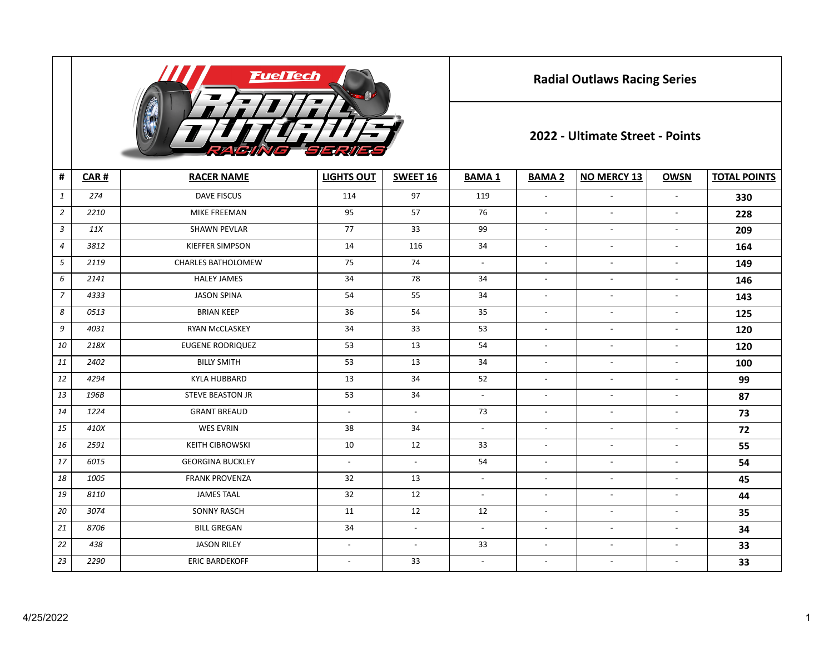

**Radial Outlaws Racing Series**

## **2022 - Ultimate Street - Points**

| #              | CAR# | <b>RACER NAME</b>         | <b>LIGHTS OUT</b>        | SWEET 16                 | <b>BAMA1</b>              | <b>BAMA 2</b>            | <b>NO MERCY 13</b>       | <b>OWSN</b>              | <b>TOTAL POINTS</b> |
|----------------|------|---------------------------|--------------------------|--------------------------|---------------------------|--------------------------|--------------------------|--------------------------|---------------------|
| $\mathbf{1}$   | 274  | <b>DAVE FISCUS</b>        | 114                      | 97                       | 119                       | $\overline{\phantom{a}}$ | $\overline{\phantom{a}}$ | $\overline{a}$           | 330                 |
| $\overline{2}$ | 2210 | <b>MIKE FREEMAN</b>       | 95                       | 57                       | 76                        | $\overline{\phantom{a}}$ | $\overline{a}$           | $\blacksquare$           | 228                 |
| $\mathfrak{Z}$ | 11X  | <b>SHAWN PEVLAR</b>       | 77                       | 33                       | 99                        | $\overline{\phantom{a}}$ | $\overline{\phantom{a}}$ | $\overline{a}$           | 209                 |
| $\overline{a}$ | 3812 | <b>KIEFFER SIMPSON</b>    | 14                       | 116                      | 34                        | $\overline{a}$           | $\overline{a}$           | $\overline{\phantom{a}}$ | 164                 |
| 5              | 2119 | <b>CHARLES BATHOLOMEW</b> | 75                       | 74                       | $\overline{\phantom{a}}$  | $\overline{\phantom{a}}$ | $\overline{\phantom{a}}$ | $\overline{\phantom{a}}$ | 149                 |
| 6              | 2141 | <b>HALEY JAMES</b>        | 34                       | 78                       | 34                        | $\overline{\phantom{a}}$ | $\overline{\phantom{a}}$ | $\blacksquare$           | 146                 |
| $\overline{7}$ | 4333 | <b>JASON SPINA</b>        | 54                       | 55                       | 34                        | $\overline{\phantom{a}}$ | $\overline{\phantom{a}}$ | $\blacksquare$           | 143                 |
| 8              | 0513 | <b>BRIAN KEEP</b>         | 36                       | 54                       | 35                        | $\overline{\phantom{a}}$ | $\overline{\phantom{a}}$ | $\overline{\phantom{a}}$ | 125                 |
| 9              | 4031 | <b>RYAN McCLASKEY</b>     | 34                       | 33                       | 53                        | $\overline{\phantom{a}}$ | $\overline{\phantom{a}}$ | $\blacksquare$           | 120                 |
| 10             | 218X | <b>EUGENE RODRIQUEZ</b>   | 53                       | 13                       | 54                        | $\sim$                   | $\overline{a}$           | $\blacksquare$           | 120                 |
| 11             | 2402 | <b>BILLY SMITH</b>        | 53                       | 13                       | 34                        | $\overline{\phantom{a}}$ | $\overline{\phantom{a}}$ | $\overline{\phantom{a}}$ | 100                 |
| 12             | 4294 | <b>KYLA HUBBARD</b>       | 13                       | 34                       | 52                        | $\overline{\phantom{a}}$ | $\overline{\phantom{a}}$ | $\overline{\phantom{a}}$ | 99                  |
| 13             | 196B | <b>STEVE BEASTON JR</b>   | 53                       | 34                       | $\mathbb{L}^{\mathbb{N}}$ | $\overline{a}$           | $\overline{\phantom{a}}$ | $\blacksquare$           | 87                  |
| 14             | 1224 | <b>GRANT BREAUD</b>       | $\blacksquare$           | $\mathbb{L}$             | 73                        | $\overline{\phantom{a}}$ | $\overline{\phantom{a}}$ | $\blacksquare$           | 73                  |
| 15             | 410X | <b>WES EVRIN</b>          | 38                       | 34                       | $\overline{a}$            | $\overline{\phantom{a}}$ | $\overline{\phantom{a}}$ | $\blacksquare$           | 72                  |
| 16             | 2591 | <b>KEITH CIBROWSKI</b>    | 10                       | 12                       | 33                        | $\blacksquare$           | $\overline{\phantom{a}}$ | $\blacksquare$           | 55                  |
| 17             | 6015 | <b>GEORGINA BUCKLEY</b>   | $\blacksquare$           | $\sim$                   | 54                        | $\overline{\phantom{a}}$ | $\blacksquare$           | $\overline{\phantom{a}}$ | 54                  |
| 18             | 1005 | <b>FRANK PROVENZA</b>     | 32                       | 13                       | $\blacksquare$            | $\overline{\phantom{a}}$ | $\overline{\phantom{a}}$ | $\blacksquare$           | 45                  |
| 19             | 8110 | <b>JAMES TAAL</b>         | 32                       | 12                       | $\overline{\phantom{a}}$  | $\overline{\phantom{a}}$ | $\overline{\phantom{a}}$ | $\blacksquare$           | 44                  |
| 20             | 3074 | <b>SONNY RASCH</b>        | 11                       | 12                       | 12                        | $\blacksquare$           | $\overline{a}$           | $\blacksquare$           | 35                  |
| 21             | 8706 | <b>BILL GREGAN</b>        | 34                       | $\overline{a}$           | $\overline{a}$            | $\overline{\phantom{a}}$ | $\overline{a}$           | $\overline{\phantom{a}}$ | 34                  |
| 22             | 438  | <b>JASON RILEY</b>        | $\overline{\phantom{a}}$ | $\overline{\phantom{a}}$ | 33                        | $\overline{\phantom{a}}$ | $\overline{a}$           | $\blacksquare$           | 33                  |
| 23             | 2290 | <b>ERIC BARDEKOFF</b>     | $\overline{\phantom{a}}$ | 33                       | $\blacksquare$            | $\overline{\phantom{a}}$ | $\overline{a}$           | $\overline{\phantom{a}}$ | 33                  |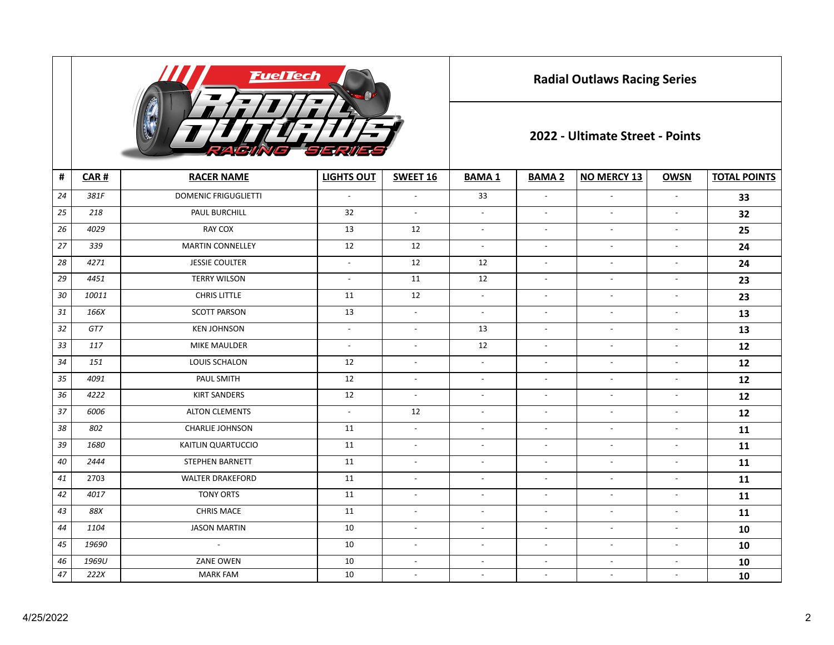

**Radial Outlaws Racing Series**

## **2022 - Ultimate Street - Points**

| $\pmb{\sharp}$ | CAR#  | <b>RACER NAME</b>           | <b>LIGHTS OUT</b>        | SWEET 16                 | <b>BAMA1</b>              | <b>BAMA 2</b>            | <b>NO MERCY 13</b>       | <b>OWSN</b>              | <b>TOTAL POINTS</b> |
|----------------|-------|-----------------------------|--------------------------|--------------------------|---------------------------|--------------------------|--------------------------|--------------------------|---------------------|
| 24             | 381F  | <b>DOMENIC FRIGUGLIETTI</b> | $\blacksquare$           | $\overline{a}$           | 33                        | $\overline{\phantom{a}}$ | $\overline{a}$           | $\blacksquare$           | 33                  |
| 25             | 218   | PAUL BURCHILL               | 32                       | $\overline{\phantom{a}}$ | $\overline{\phantom{a}}$  | $\overline{\phantom{a}}$ | $\overline{\phantom{a}}$ | $\overline{\phantom{a}}$ | 32                  |
| 26             | 4029  | RAY COX                     | 13                       | 12                       | $\blacksquare$            | $\blacksquare$           | $\sim$                   | $\overline{\phantom{a}}$ | 25                  |
| 27             | 339   | <b>MARTIN CONNELLEY</b>     | 12                       | 12                       | $\overline{\phantom{a}}$  | $\overline{\phantom{a}}$ | $\overline{\phantom{a}}$ | $\overline{\phantom{a}}$ | 24                  |
| 28             | 4271  | <b>JESSIE COULTER</b>       | $\overline{\phantom{a}}$ | 12                       | 12                        | $\sim$                   | $\overline{\phantom{a}}$ | $\overline{\phantom{a}}$ | 24                  |
| 29             | 4451  | <b>TERRY WILSON</b>         | $\overline{\phantom{a}}$ | 11                       | 12                        | $\sim$                   | $\blacksquare$           | $\overline{\phantom{a}}$ | 23                  |
| 30             | 10011 | <b>CHRIS LITTLE</b>         | 11                       | 12                       | $\mathbb{L}^{\mathbb{N}}$ | $\sim$                   | $\blacksquare$           | $\overline{\phantom{a}}$ | 23                  |
| 31             | 166X  | <b>SCOTT PARSON</b>         | 13                       | $\mathbb{L}$             | $\blacksquare$            | $\overline{\phantom{a}}$ | $\blacksquare$           | $\overline{\phantom{a}}$ | 13                  |
| 32             | GT7   | <b>KEN JOHNSON</b>          | $\overline{\phantom{a}}$ | $\mathbb{Z}^2$           | 13                        | $\blacksquare$           | $\overline{\phantom{a}}$ | $\overline{\phantom{a}}$ | 13                  |
| 33             | 117   | <b>MIKE MAULDER</b>         | $\blacksquare$           | $\sim$                   | 12                        | $\blacksquare$           | $\mathbb{L}$             | $\overline{\phantom{a}}$ | 12                  |
| 34             | 151   | LOUIS SCHALON               | 12                       | $\overline{\phantom{a}}$ | $\overline{\phantom{a}}$  | $\overline{\phantom{a}}$ | $\overline{\phantom{a}}$ | $\overline{\phantom{a}}$ | 12                  |
| 35             | 4091  | PAUL SMITH                  | 12                       | $\sim$                   | $\sim$                    | $\blacksquare$           | $\blacksquare$           | $\overline{\phantom{a}}$ | 12                  |
| 36             | 4222  | <b>KIRT SANDERS</b>         | 12                       | $\overline{\phantom{a}}$ | $\overline{\phantom{a}}$  | $\overline{\phantom{a}}$ | $\overline{\phantom{a}}$ | $\overline{\phantom{a}}$ | 12                  |
| 37             | 6006  | <b>ALTON CLEMENTS</b>       | $\overline{\phantom{a}}$ | 12                       | $\overline{\phantom{a}}$  | $\overline{\phantom{a}}$ | $\overline{\phantom{a}}$ | $\overline{\phantom{a}}$ | 12                  |
| 38             | 802   | <b>CHARLIE JOHNSON</b>      | 11                       | $\overline{\phantom{a}}$ | $\overline{\phantom{a}}$  | $\overline{\phantom{a}}$ | $\overline{\phantom{a}}$ | $\overline{\phantom{a}}$ | 11                  |
| 39             | 1680  | KAITLIN QUARTUCCIO          | 11                       | $\overline{\phantom{a}}$ | $\overline{\phantom{a}}$  | $\overline{\phantom{a}}$ | $\overline{\phantom{a}}$ | $\overline{\phantom{a}}$ | 11                  |
| 40             | 2444  | <b>STEPHEN BARNETT</b>      | 11                       | $\overline{\phantom{a}}$ | $\overline{\phantom{a}}$  | $\overline{\phantom{a}}$ | $\overline{\phantom{a}}$ | $\overline{\phantom{a}}$ | 11                  |
| 41             | 2703  | <b>WALTER DRAKEFORD</b>     | 11                       | $\overline{\phantom{a}}$ | $\overline{\phantom{a}}$  | $\overline{a}$           | $\overline{\phantom{a}}$ | $\overline{\phantom{a}}$ | 11                  |
| 42             | 4017  | <b>TONY ORTS</b>            | 11                       | $\overline{a}$           | $\blacksquare$            | $\overline{\phantom{a}}$ | $\sim$                   | $\overline{\phantom{a}}$ | 11                  |
| 43             | 88X   | <b>CHRIS MACE</b>           | 11                       | $\overline{a}$           | $\blacksquare$            | $\sim$                   | $\sim$                   | $\overline{\phantom{a}}$ | 11                  |
| 44             | 1104  | <b>JASON MARTIN</b>         | 10                       | $\overline{\phantom{a}}$ | $\overline{\phantom{a}}$  | $\overline{\phantom{a}}$ | $\overline{\phantom{a}}$ | $\overline{\phantom{a}}$ | 10                  |
| 45             | 19690 | $\sim$                      | 10                       | $\sim$                   | $\overline{a}$            | $\sim$                   | $\overline{a}$           | $\blacksquare$           | 10                  |
| 46             | 1969U | <b>ZANE OWEN</b>            | 10                       | $\overline{a}$           | $\overline{a}$            | $\overline{a}$           | $\overline{a}$           | $\overline{a}$           | 10                  |
| $47\,$         | 222X  | <b>MARK FAM</b>             | 10                       | $\overline{\phantom{a}}$ | $\overline{\phantom{a}}$  | $\overline{\phantom{a}}$ | $\sim$                   | $\overline{\phantom{a}}$ | 10                  |